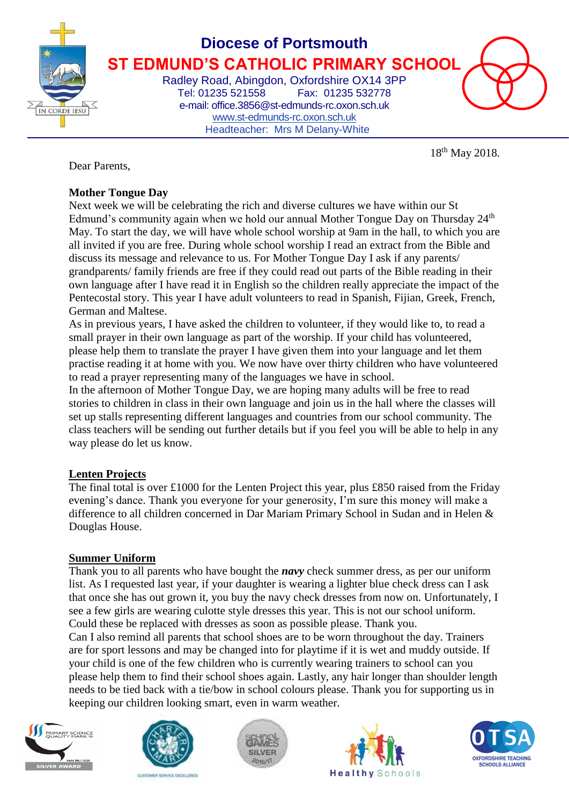

# **Diocese of Portsmouth ST EDMUND'S CATHOLIC PRIMARY SCHOOL**

Radley Road, Abingdon, Oxfordshire OX14 3PP Tel: 01235 521558 Fax: 01235 532778 e-mail: office.3856@st-edmunds-rc.oxon.sch.uk [www.st-edmunds-rc.oxon.sch.uk](http://www.st-edmunds-rc.oxon.sch.uk/) Headteacher: Mrs M Delany-White

18th May 2018.

Dear Parents,

### **Mother Tongue Day**

Next week we will be celebrating the rich and diverse cultures we have within our St Edmund's community again when we hold our annual Mother Tongue Day on Thursday  $24<sup>th</sup>$ May. To start the day, we will have whole school worship at 9am in the hall, to which you are all invited if you are free. During whole school worship I read an extract from the Bible and discuss its message and relevance to us. For Mother Tongue Day I ask if any parents/ grandparents/ family friends are free if they could read out parts of the Bible reading in their own language after I have read it in English so the children really appreciate the impact of the Pentecostal story. This year I have adult volunteers to read in Spanish, Fijian, Greek, French, German and Maltese.

As in previous years, I have asked the children to volunteer, if they would like to, to read a small prayer in their own language as part of the worship. If your child has volunteered, please help them to translate the prayer I have given them into your language and let them practise reading it at home with you. We now have over thirty children who have volunteered to read a prayer representing many of the languages we have in school.

In the afternoon of Mother Tongue Day, we are hoping many adults will be free to read stories to children in class in their own language and join us in the hall where the classes will set up stalls representing different languages and countries from our school community. The class teachers will be sending out further details but if you feel you will be able to help in any way please do let us know.

## **Lenten Projects**

The final total is over £1000 for the Lenten Project this year, plus £850 raised from the Friday evening's dance. Thank you everyone for your generosity, I'm sure this money will make a difference to all children concerned in Dar Mariam Primary School in Sudan and in Helen & Douglas House.

#### **Summer Uniform**

Thank you to all parents who have bought the *navy* check summer dress, as per our uniform list. As I requested last year, if your daughter is wearing a lighter blue check dress can I ask that once she has out grown it, you buy the navy check dresses from now on. Unfortunately, I see a few girls are wearing culotte style dresses this year. This is not our school uniform. Could these be replaced with dresses as soon as possible please. Thank you. Can I also remind all parents that school shoes are to be worn throughout the day. Trainers are for sport lessons and may be changed into for playtime if it is wet and muddy outside. If your child is one of the few children who is currently wearing trainers to school can you please help them to find their school shoes again. Lastly, any hair longer than shoulder length needs to be tied back with a tie/bow in school colours please. Thank you for supporting us in keeping our children looking smart, even in warm weather.









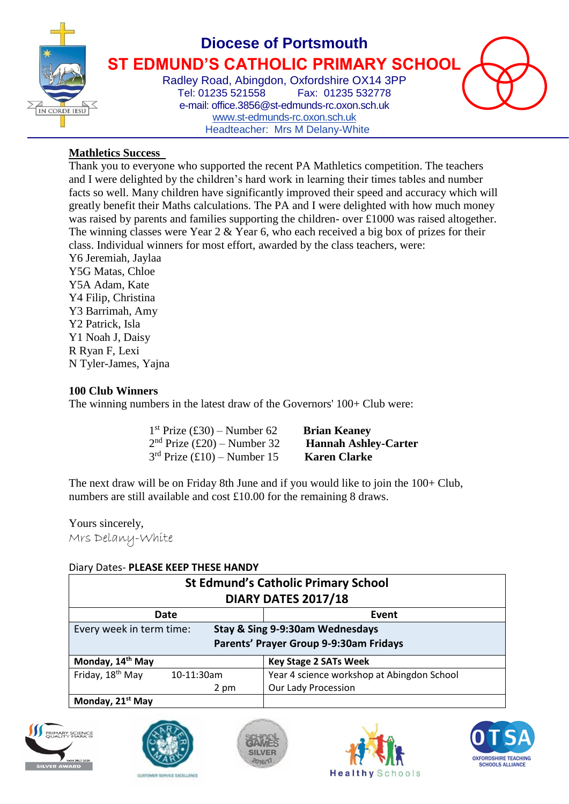

# **Diocese of Portsmouth ST EDMUND'S CATHOLIC PRIMARY SCHOOL**

Radley Road, Abingdon, Oxfordshire OX14 3PP Tel: 01235 521558 Fax: 01235 532778 e-mail: office.3856@st-edmunds-rc.oxon.sch.uk [www.st-edmunds-rc.oxon.sch.uk](http://www.st-edmunds-rc.oxon.sch.uk/) Headteacher: Mrs M Delany-White

#### **Mathletics Success**

Thank you to everyone who supported the recent PA Mathletics competition. The teachers and I were delighted by the children's hard work in learning their times tables and number facts so well. Many children have significantly improved their speed and accuracy which will greatly benefit their Maths calculations. The PA and I were delighted with how much money was raised by parents and families supporting the children- over £1000 was raised altogether. The winning classes were Year 2 & Year 6, who each received a big box of prizes for their class. Individual winners for most effort, awarded by the class teachers, were:

Y6 Jeremiah, Jaylaa Y5G Matas, Chloe Y5A Adam, Kate Y4 Filip, Christina Y3 Barrimah, Amy Y2 Patrick, Isla Y1 Noah J, Daisy R Ryan F, Lexi N Tyler-James, Yajna

#### **100 Club Winners**

The winning numbers in the latest draw of the Governors' 100+ Club were:

| $1st$ Prize (£30) – Number 62<br><b>Brian Keaney</b>         |  |
|--------------------------------------------------------------|--|
| $2nd$ Prize (£20) – Number 32<br><b>Hannah Ashley-Carter</b> |  |
| $3rd$ Prize (£10) – Number 15<br><b>Karen Clarke</b>         |  |

The next draw will be on Friday 8th June and if you would like to join the 100+ Club, numbers are still available and cost £10.00 for the remaining 8 draws.

Yours sincerely, Mrs Delany-White

#### Diary Dates- **PLEASE KEEP THESE HANDY**

| <b>St Edmund's Catholic Primary School</b><br><b>DIARY DATES 2017/18</b> |            |                                            |  |  |  |
|--------------------------------------------------------------------------|------------|--------------------------------------------|--|--|--|
|                                                                          |            |                                            |  |  |  |
| Date                                                                     |            | Event                                      |  |  |  |
| Every week in term time:                                                 |            | Stay & Sing 9-9:30am Wednesdays            |  |  |  |
| Parents' Prayer Group 9-9:30am Fridays                                   |            |                                            |  |  |  |
| Monday, 14 <sup>th</sup> May                                             |            | <b>Key Stage 2 SATs Week</b>               |  |  |  |
| Friday, 18 <sup>th</sup> May                                             | 10-11:30am | Year 4 science workshop at Abingdon School |  |  |  |
|                                                                          | 2 pm       | Our Lady Procession                        |  |  |  |
| Monday, 21 <sup>st</sup> May                                             |            |                                            |  |  |  |









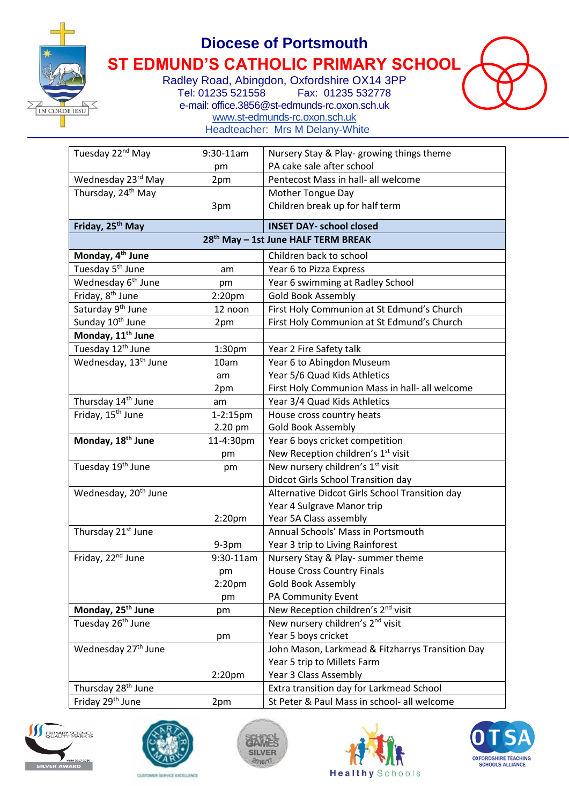

## **Diocese of Portsmouth**

**ST EDMUND'S CATHOLIC PRIMARY SCHOOL**

Radley Road, Abingdon, Oxfordshire OX14 3PP<br>Tel: 01235 521558 Fax: 01235 532778 Fax: 01235 532778 e-mail: office.3856@st-edmunds-rc.oxon.sch.uk [www.st-edmunds-rc.oxon.sch.uk](http://www.st-edmunds-rc.oxon.sch.uk/) Headteacher: Mrs M Delany-White

| Tuesday 22 <sup>nd</sup> May                    | 9:30-11am          | Nursery Stay & Play-growing things theme         |  |  |
|-------------------------------------------------|--------------------|--------------------------------------------------|--|--|
|                                                 | pm                 | PA cake sale after school                        |  |  |
| Wednesday 23rd May                              | 2pm                | Pentecost Mass in hall- all welcome              |  |  |
| Thursday, 24 <sup>th</sup> May                  |                    | Mother Tongue Day                                |  |  |
|                                                 | 3pm                | Children break up for half term                  |  |  |
| Friday, 25 <sup>th</sup> May                    |                    | <b>INSET DAY- school closed</b>                  |  |  |
| 28 <sup>th</sup> May - 1st June HALF TERM BREAK |                    |                                                  |  |  |
| Monday, 4 <sup>th</sup> June                    |                    | Children back to school                          |  |  |
| Tuesday 5 <sup>th</sup> June                    | am                 | Year 6 to Pizza Express                          |  |  |
| Wednesday 6 <sup>th</sup> June                  | pm                 | Year 6 swimming at Radley School                 |  |  |
| Friday, 8 <sup>th</sup> June                    | 2:20 <sub>pm</sub> | <b>Gold Book Assembly</b>                        |  |  |
| Saturday 9 <sup>th</sup> June                   | 12 noon            | First Holy Communion at St Edmund's Church       |  |  |
| Sunday 10 <sup>th</sup> June                    | 2pm                | First Holy Communion at St Edmund's Church       |  |  |
| Monday, 11 <sup>th</sup> June                   |                    |                                                  |  |  |
| Tuesday 12 <sup>th</sup> June                   | 1:30 <sub>pm</sub> | Year 2 Fire Safety talk                          |  |  |
| Wednesday, 13 <sup>th</sup> June                | 10am               | Year 6 to Abingdon Museum                        |  |  |
|                                                 | am                 | Year 5/6 Quad Kids Athletics                     |  |  |
|                                                 | 2pm                | First Holy Communion Mass in hall- all welcome   |  |  |
| Thursday 14 <sup>th</sup> June                  | am                 | Year 3/4 Quad Kids Athletics                     |  |  |
| Friday, 15 <sup>th</sup> June                   | 1-2:15pm           | House cross country heats                        |  |  |
|                                                 | 2.20 pm            | Gold Book Assembly                               |  |  |
| Monday, 18 <sup>th</sup> June                   | 11-4:30pm          | Year 6 boys cricket competition                  |  |  |
|                                                 | pm                 | New Reception children's 1 <sup>st</sup> visit   |  |  |
| Tuesday 19 <sup>th</sup> June                   | pm                 | New nursery children's 1 <sup>st</sup> visit     |  |  |
|                                                 |                    | Didcot Girls School Transition day               |  |  |
| Wednesday, 20 <sup>th</sup> June                |                    | Alternative Didcot Girls School Transition day   |  |  |
|                                                 |                    | Year 4 Sulgrave Manor trip                       |  |  |
|                                                 | 2:20 <sub>pm</sub> | Year 5A Class assembly                           |  |  |
| Thursday 21 <sup>st</sup> June                  |                    | Annual Schools' Mass in Portsmouth               |  |  |
|                                                 | $9-3pm$            | Year 3 trip to Living Rainforest                 |  |  |
| Friday, 22 <sup>nd</sup> June                   | 9:30-11am          | Nursery Stay & Play- summer theme                |  |  |
|                                                 | pm                 | <b>House Cross Country Finals</b>                |  |  |
|                                                 | 2:20 <sub>pm</sub> | Gold Book Assembly                               |  |  |
|                                                 | pm                 | PA Community Event                               |  |  |
| Monday, 25 <sup>th</sup> June                   | pm                 | New Reception children's 2 <sup>nd</sup> visit   |  |  |
| Tuesday 26 <sup>th</sup> June                   |                    | New nursery children's 2 <sup>nd</sup> visit     |  |  |
|                                                 | pm                 | Year 5 boys cricket                              |  |  |
| Wednesday 27 <sup>th</sup> June                 |                    | John Mason, Larkmead & Fitzharrys Transition Day |  |  |
|                                                 |                    | Year 5 trip to Millets Farm                      |  |  |
|                                                 | 2:20 <sub>pm</sub> | Year 3 Class Assembly                            |  |  |
| Thursday 28 <sup>th</sup> June                  |                    | Extra transition day for Larkmead School         |  |  |
| Friday 29 <sup>th</sup> June                    | 2pm                | St Peter & Paul Mass in school- all welcome      |  |  |